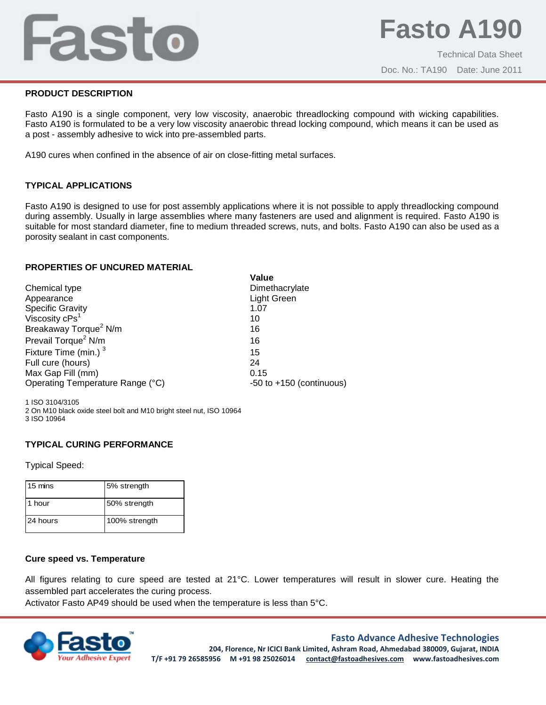## Fasto

#### **PRODUCT DESCRIPTION**

Fasto A190 is a single component, very low viscosity, anaerobic threadlocking compound with wicking capabilities. Fasto A190 is formulated to be a very low viscosity anaerobic thread locking compound, which means it can be used as a post - assembly adhesive to wick into pre-assembled parts.

A190 cures when confined in the absence of air on close-fitting metal surfaces.

### **TYPICAL APPLICATIONS**

Fasto A190 is designed to use for post assembly applications where it is not possible to apply threadlocking compound during assembly. Usually in large assemblies where many fasteners are used and alignment is required. Fasto A190 is suitable for most standard diameter, fine to medium threaded screws, nuts, and bolts. Fasto A190 can also be used as a porosity sealant in cast components.

#### **PROPERTIES OF UNCURED MATERIAL**

|                                                | Value                        |
|------------------------------------------------|------------------------------|
| Chemical type                                  | Dimethacrylate               |
| Appearance                                     | <b>Light Green</b>           |
|                                                | 1.07                         |
| Specific Gravity<br>Viscosity cPs <sup>1</sup> | 10                           |
| Breakaway Torque <sup>2</sup> N/m              | 16                           |
| Prevail Torque <sup>2</sup> N/m                | 16                           |
| Fixture Time (min.) <sup>3</sup>               | 15                           |
| Full cure (hours)                              | 24                           |
| Max Gap Fill (mm)                              | 0.15                         |
| Operating Temperature Range (°C)               | $-50$ to $+150$ (continuous) |

1 ISO 3104/3105 2 On M10 black oxide steel bolt and M10 bright steel nut, ISO 10964 3 ISO 10964

#### **TYPICAL CURING PERFORMANCE**

Typical Speed:

| 15 mins  | 5% strength   |
|----------|---------------|
| 1 hour   | 50% strength  |
| 24 hours | 100% strength |

#### **Cure speed vs. Temperature**

All figures relating to cure speed are tested at 21°C. Lower temperatures will result in slower cure. Heating the assembled part accelerates the curing process.

Activator Fasto AP49 should be used when the temperature is less than 5°C.



#### **Fasto Advance Adhesive Technologies**

**204, Florence, Nr ICICI Bank Limited, Ashram Road, Ahmedabad 380009, Gujarat, INDIA T/F +91 79 26585956 M +91 98 25026014 contact@fastoadhesives.com www.fastoadhesives.com**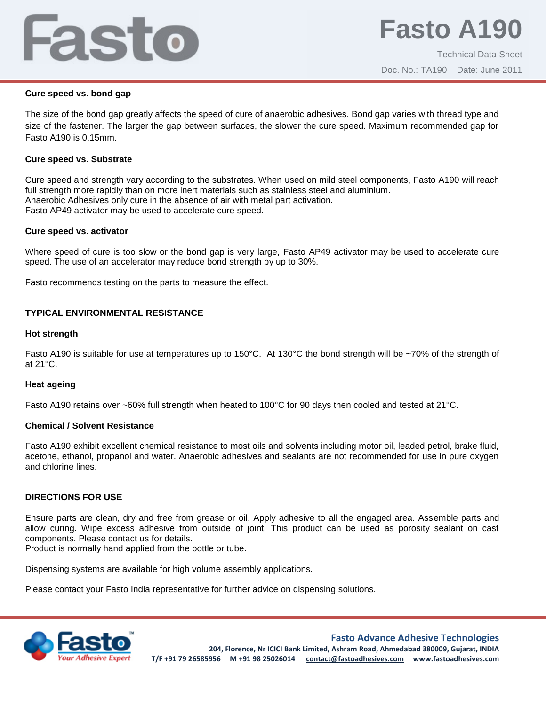# Fasto

### **Cure speed vs. bond gap**

The size of the bond gap greatly affects the speed of cure of anaerobic adhesives. Bond gap varies with thread type and size of the fastener. The larger the gap between surfaces, the slower the cure speed. Maximum recommended gap for Fasto A190 is 0.15mm.

## **Cure speed vs. Substrate**

Cure speed and strength vary according to the substrates. When used on mild steel components, Fasto A190 will reach full strength more rapidly than on more inert materials such as stainless steel and aluminium. Anaerobic Adhesives only cure in the absence of air with metal part activation. Fasto AP49 activator may be used to accelerate cure speed.

## **Cure speed vs. activator**

Where speed of cure is too slow or the bond gap is very large, Fasto AP49 activator may be used to accelerate cure speed. The use of an accelerator may reduce bond strength by up to 30%.

Fasto recommends testing on the parts to measure the effect.

## **TYPICAL ENVIRONMENTAL RESISTANCE**

#### **Hot strength**

Fasto A190 is suitable for use at temperatures up to 150°C. At 130°C the bond strength will be ~70% of the strength of at 21°C.

#### **Heat ageing**

Fasto A190 retains over ~60% full strength when heated to 100°C for 90 days then cooled and tested at 21°C.

#### **Chemical / Solvent Resistance**

Fasto A190 exhibit excellent chemical resistance to most oils and solvents including motor oil, leaded petrol, brake fluid, acetone, ethanol, propanol and water. Anaerobic adhesives and sealants are not recommended for use in pure oxygen and chlorine lines.

#### **DIRECTIONS FOR USE**

Ensure parts are clean, dry and free from grease or oil. Apply adhesive to all the engaged area. Assemble parts and allow curing. Wipe excess adhesive from outside of joint. This product can be used as porosity sealant on cast components. Please contact us for details.

Product is normally hand applied from the bottle or tube.

Dispensing systems are available for high volume assembly applications.

Please contact your Fasto India representative for further advice on dispensing solutions.



**Fasto Advance Adhesive Technologies**

**204, Florence, Nr ICICI Bank Limited, Ashram Road, Ahmedabad 380009, Gujarat, INDIA T/F +91 79 26585956 M +91 98 25026014 contact@fastoadhesives.com www.fastoadhesives.com**